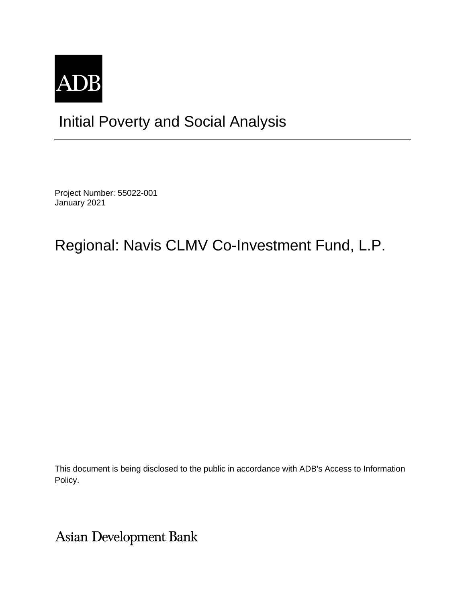

## Initial Poverty and Social Analysis

Project Number: 55022-001 January 2021

## Regional: Navis CLMV Co-Investment Fund, L.P.

This document is being disclosed to the public in accordance with ADB's Access to Information Policy.

Asian Development Bank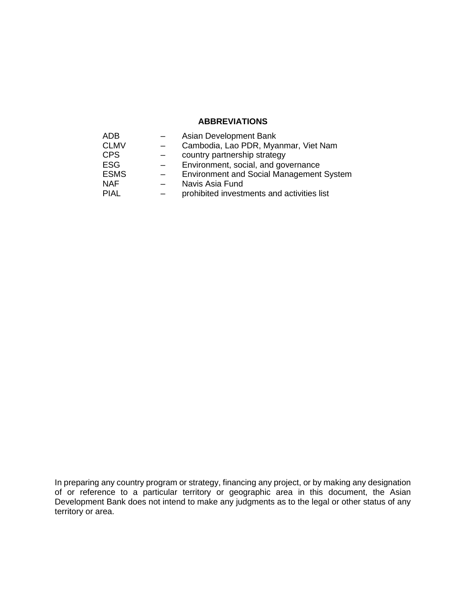## **ABBREVIATIONS**

| <b>ADB</b>  | Asian Development Bank                          |
|-------------|-------------------------------------------------|
| <b>CLMV</b> | Cambodia, Lao PDR, Myanmar, Viet Nam            |
| <b>CPS</b>  | country partnership strategy                    |
| <b>ESG</b>  | Environment, social, and governance             |
| <b>ESMS</b> | <b>Environment and Social Management System</b> |
| <b>NAF</b>  | Navis Asia Fund                                 |
| <b>PIAL</b> | prohibited investments and activities list      |

In preparing any country program or strategy, financing any project, or by making any designation of or reference to a particular territory or geographic area in this document, the Asian Development Bank does not intend to make any judgments as to the legal or other status of any territory or area.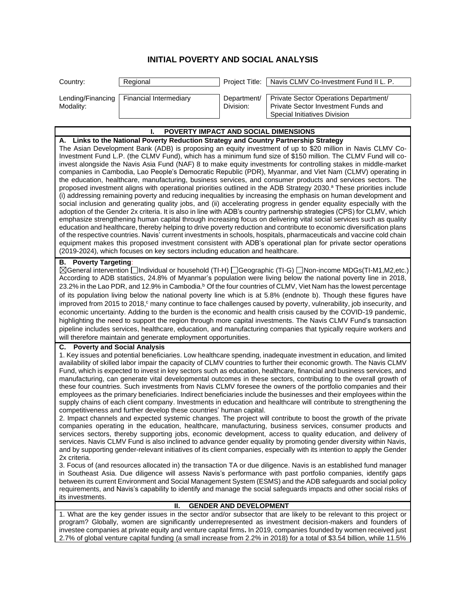## **INITIAL POVERTY AND SOCIAL ANALYSIS**

| Country:                                                                                                                                                                                                                                                                                                                                                                                                                                                                                                                                                                                                                                                                                                                                                                                                                                                                                                                                                                                                                                                                                                                                                                                                                                                                                                                                                                                                                                                                                                                                                                                                                                                                                                                                          | Regional                                                            | Project Title:                | Navis CLMV Co-Investment Fund II L. P.                                                                                                                                                                                                                                                                                                                                                                                                                                                                                                                                                                                                                                                                                                                                                                                                                                                                                                                                                                                                                                                                                                                                                                                                                                                                                                                                                                                                                     |  |  |
|---------------------------------------------------------------------------------------------------------------------------------------------------------------------------------------------------------------------------------------------------------------------------------------------------------------------------------------------------------------------------------------------------------------------------------------------------------------------------------------------------------------------------------------------------------------------------------------------------------------------------------------------------------------------------------------------------------------------------------------------------------------------------------------------------------------------------------------------------------------------------------------------------------------------------------------------------------------------------------------------------------------------------------------------------------------------------------------------------------------------------------------------------------------------------------------------------------------------------------------------------------------------------------------------------------------------------------------------------------------------------------------------------------------------------------------------------------------------------------------------------------------------------------------------------------------------------------------------------------------------------------------------------------------------------------------------------------------------------------------------------|---------------------------------------------------------------------|-------------------------------|------------------------------------------------------------------------------------------------------------------------------------------------------------------------------------------------------------------------------------------------------------------------------------------------------------------------------------------------------------------------------------------------------------------------------------------------------------------------------------------------------------------------------------------------------------------------------------------------------------------------------------------------------------------------------------------------------------------------------------------------------------------------------------------------------------------------------------------------------------------------------------------------------------------------------------------------------------------------------------------------------------------------------------------------------------------------------------------------------------------------------------------------------------------------------------------------------------------------------------------------------------------------------------------------------------------------------------------------------------------------------------------------------------------------------------------------------------|--|--|
| Lending/Financing<br>Modality:                                                                                                                                                                                                                                                                                                                                                                                                                                                                                                                                                                                                                                                                                                                                                                                                                                                                                                                                                                                                                                                                                                                                                                                                                                                                                                                                                                                                                                                                                                                                                                                                                                                                                                                    | <b>Financial Intermediary</b>                                       | Department/<br>Division:      | Private Sector Operations Department/<br>Private Sector Investment Funds and<br>Special Initiatives Division                                                                                                                                                                                                                                                                                                                                                                                                                                                                                                                                                                                                                                                                                                                                                                                                                                                                                                                                                                                                                                                                                                                                                                                                                                                                                                                                               |  |  |
|                                                                                                                                                                                                                                                                                                                                                                                                                                                                                                                                                                                                                                                                                                                                                                                                                                                                                                                                                                                                                                                                                                                                                                                                                                                                                                                                                                                                                                                                                                                                                                                                                                                                                                                                                   | POVERTY IMPACT AND SOCIAL DIMENSIONS                                |                               |                                                                                                                                                                                                                                                                                                                                                                                                                                                                                                                                                                                                                                                                                                                                                                                                                                                                                                                                                                                                                                                                                                                                                                                                                                                                                                                                                                                                                                                            |  |  |
|                                                                                                                                                                                                                                                                                                                                                                                                                                                                                                                                                                                                                                                                                                                                                                                                                                                                                                                                                                                                                                                                                                                                                                                                                                                                                                                                                                                                                                                                                                                                                                                                                                                                                                                                                   |                                                                     |                               |                                                                                                                                                                                                                                                                                                                                                                                                                                                                                                                                                                                                                                                                                                                                                                                                                                                                                                                                                                                                                                                                                                                                                                                                                                                                                                                                                                                                                                                            |  |  |
| A. Links to the National Poverty Reduction Strategy and Country Partnership Strategy<br>The Asian Development Bank (ADB) is proposing an equity investment of up to \$20 million in Navis CLMV Co-<br>Investment Fund L.P. (the CLMV Fund), which has a minimum fund size of \$150 million. The CLMV Fund will co-<br>invest alongside the Navis Asia Fund (NAF) 8 to make equity investments for controlling stakes in middle-market<br>companies in Cambodia, Lao People's Democratic Republic (PDR), Myanmar, and Viet Nam (CLMV) operating in<br>the education, healthcare, manufacturing, business services, and consumer products and services sectors. The<br>proposed investment aligns with operational priorities outlined in the ADB Strategy 2030. <sup>a</sup> These priorities include<br>(i) addressing remaining poverty and reducing inequalities by increasing the emphasis on human development and<br>social inclusion and generating quality jobs, and (ii) accelerating progress in gender equality especially with the<br>adoption of the Gender 2x criteria. It is also in line with ADB's country partnership strategies (CPS) for CLMV, which<br>emphasize strengthening human capital through increasing focus on delivering vital social services such as quality<br>education and healthcare, thereby helping to drive poverty reduction and contribute to economic diversification plans<br>of the respective countries. Navis' current investments in schools, hospitals, pharmaceuticals and vaccine cold chain<br>equipment makes this proposed investment consistent with ADB's operational plan for private sector operations<br>(2019-2024), which focuses on key sectors including education and healthcare. |                                                                     |                               |                                                                                                                                                                                                                                                                                                                                                                                                                                                                                                                                                                                                                                                                                                                                                                                                                                                                                                                                                                                                                                                                                                                                                                                                                                                                                                                                                                                                                                                            |  |  |
| <b>B.</b> Poverty Targeting:<br>⊠General intervention Individual or household (TI-H) I Geographic (TI-G) I Non-income MDGs(TI-M1,M2,etc.)<br>According to ADB statistics, 24.8% of Myanmar's population were living below the national poverty line in 2018,<br>23.2% in the Lao PDR, and 12.9% in Cambodia. <sup>b</sup> Of the four countries of CLMV, Viet Nam has the lowest percentage<br>of its population living below the national poverty line which is at 5.8% (endnote b). Though these figures have<br>improved from 2015 to 2018, <sup>c</sup> many continue to face challenges caused by poverty, vulnerability, job insecurity, and<br>economic uncertainty. Adding to the burden is the economic and health crisis caused by the COVID-19 pandemic,<br>highlighting the need to support the region through more capital investments. The Navis CLMV Fund's transaction<br>pipeline includes services, healthcare, education, and manufacturing companies that typically require workers and<br>will therefore maintain and generate employment opportunities.                                                                                                                                                                                                                                                                                                                                                                                                                                                                                                                                                                                                                                                                     |                                                                     |                               |                                                                                                                                                                                                                                                                                                                                                                                                                                                                                                                                                                                                                                                                                                                                                                                                                                                                                                                                                                                                                                                                                                                                                                                                                                                                                                                                                                                                                                                            |  |  |
| С.                                                                                                                                                                                                                                                                                                                                                                                                                                                                                                                                                                                                                                                                                                                                                                                                                                                                                                                                                                                                                                                                                                                                                                                                                                                                                                                                                                                                                                                                                                                                                                                                                                                                                                                                                | <b>Poverty and Social Analysis</b>                                  |                               |                                                                                                                                                                                                                                                                                                                                                                                                                                                                                                                                                                                                                                                                                                                                                                                                                                                                                                                                                                                                                                                                                                                                                                                                                                                                                                                                                                                                                                                            |  |  |
| 2x criteria.                                                                                                                                                                                                                                                                                                                                                                                                                                                                                                                                                                                                                                                                                                                                                                                                                                                                                                                                                                                                                                                                                                                                                                                                                                                                                                                                                                                                                                                                                                                                                                                                                                                                                                                                      | competitiveness and further develop these countries' human capital. |                               | 1. Key issues and potential beneficiaries. Low healthcare spending, inadequate investment in education, and limited<br>availability of skilled labor impair the capacity of CLMV countries to further their economic growth. The Navis CLMV<br>Fund, which is expected to invest in key sectors such as education, healthcare, financial and business services, and<br>manufacturing, can generate vital developmental outcomes in these sectors, contributing to the overall growth of<br>these four countries. Such investments from Navis CLMV foresee the owners of the portfolio companies and their<br>employees as the primary beneficiaries. Indirect beneficiaries include the businesses and their employees within the<br>supply chains of each client company. Investments in education and healthcare will contribute to strengthening the<br>2. Impact channels and expected systemic changes. The project will contribute to boost the growth of the private<br>companies operating in the education, healthcare, manufacturing, business services, consumer products and<br>services sectors, thereby supporting jobs, economic development, access to quality education, and delivery of<br>services. Navis CLMV Fund is also inclined to advance gender equality by promoting gender diversity within Navis,<br>and by supporting gender-relevant initiatives of its client companies, especially with its intention to apply the Gender |  |  |
| its investments.                                                                                                                                                                                                                                                                                                                                                                                                                                                                                                                                                                                                                                                                                                                                                                                                                                                                                                                                                                                                                                                                                                                                                                                                                                                                                                                                                                                                                                                                                                                                                                                                                                                                                                                                  |                                                                     |                               | 3. Focus of (and resources allocated in) the transaction TA or due diligence. Navis is an established fund manager<br>in Southeast Asia. Due diligence will assess Navis's performance with past portfolio companies, identify gaps<br>between its current Environment and Social Management System (ESMS) and the ADB safeguards and social policy<br>requirements, and Navis's capability to identify and manage the social safeguards impacts and other social risks of                                                                                                                                                                                                                                                                                                                                                                                                                                                                                                                                                                                                                                                                                                                                                                                                                                                                                                                                                                                 |  |  |
|                                                                                                                                                                                                                                                                                                                                                                                                                                                                                                                                                                                                                                                                                                                                                                                                                                                                                                                                                                                                                                                                                                                                                                                                                                                                                                                                                                                                                                                                                                                                                                                                                                                                                                                                                   | Ш.                                                                  | <b>GENDER AND DEVELOPMENT</b> |                                                                                                                                                                                                                                                                                                                                                                                                                                                                                                                                                                                                                                                                                                                                                                                                                                                                                                                                                                                                                                                                                                                                                                                                                                                                                                                                                                                                                                                            |  |  |
| 1. What are the key gender issues in the sector and/or subsector that are likely to be relevant to this project or<br>program? Globally, women are significantly underrepresented as investment decision-makers and founders of<br>investee companies at private equity and venture capital firms. In 2019, companies founded by women received just<br>2.7% of global venture capital funding (a small increase from 2.2% in 2018) for a total of \$3.54 billion, while 11.5%                                                                                                                                                                                                                                                                                                                                                                                                                                                                                                                                                                                                                                                                                                                                                                                                                                                                                                                                                                                                                                                                                                                                                                                                                                                                    |                                                                     |                               |                                                                                                                                                                                                                                                                                                                                                                                                                                                                                                                                                                                                                                                                                                                                                                                                                                                                                                                                                                                                                                                                                                                                                                                                                                                                                                                                                                                                                                                            |  |  |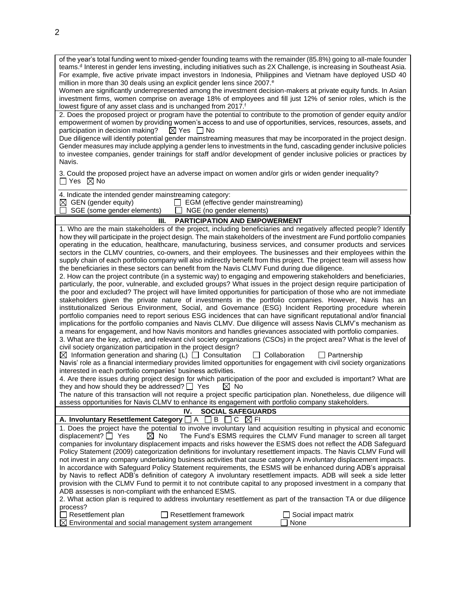| of the year's total funding went to mixed-gender founding teams with the remainder (85.8%) going to all-male founder<br>teams. <sup>d</sup> Interest in gender lens investing, including initiatives such as 2X Challenge, is increasing in Southeast Asia.<br>For example, five active private impact investors in Indonesia, Philippines and Vietnam have deployed USD 40<br>million in more than 30 deals using an explicit gender lens since 2007. <sup>e</sup><br>Women are significantly underrepresented among the investment decision-makers at private equity funds. In Asian<br>investment firms, women comprise on average 18% of employees and fill just 12% of senior roles, which is the<br>lowest figure of any asset class and is unchanged from 2017. <sup>f</sup><br>2. Does the proposed project or program have the potential to contribute to the promotion of gender equity and/or<br>empowerment of women by providing women's access to and use of opportunities, services, resources, assets, and<br>participation in decision making?<br>$\boxtimes$ Yes $\quad \Box$ No<br>Due diligence will identify potential gender mainstreaming measures that may be incorporated in the project design.<br>Gender measures may include applying a gender lens to investments in the fund, cascading gender inclusive policies<br>to investee companies, gender trainings for staff and/or development of gender inclusive policies or practices by<br>Navis. |  |  |  |  |  |
|--------------------------------------------------------------------------------------------------------------------------------------------------------------------------------------------------------------------------------------------------------------------------------------------------------------------------------------------------------------------------------------------------------------------------------------------------------------------------------------------------------------------------------------------------------------------------------------------------------------------------------------------------------------------------------------------------------------------------------------------------------------------------------------------------------------------------------------------------------------------------------------------------------------------------------------------------------------------------------------------------------------------------------------------------------------------------------------------------------------------------------------------------------------------------------------------------------------------------------------------------------------------------------------------------------------------------------------------------------------------------------------------------------------------------------------------------------------------------------|--|--|--|--|--|
| 3. Could the proposed project have an adverse impact on women and/or girls or widen gender inequality?<br>$\Box$ Yes $\boxtimes$ No                                                                                                                                                                                                                                                                                                                                                                                                                                                                                                                                                                                                                                                                                                                                                                                                                                                                                                                                                                                                                                                                                                                                                                                                                                                                                                                                            |  |  |  |  |  |
| 4. Indicate the intended gender mainstreaming category:                                                                                                                                                                                                                                                                                                                                                                                                                                                                                                                                                                                                                                                                                                                                                                                                                                                                                                                                                                                                                                                                                                                                                                                                                                                                                                                                                                                                                        |  |  |  |  |  |
| $\boxtimes$ GEN (gender equity)<br>$\Box$ EGM (effective gender mainstreaming)                                                                                                                                                                                                                                                                                                                                                                                                                                                                                                                                                                                                                                                                                                                                                                                                                                                                                                                                                                                                                                                                                                                                                                                                                                                                                                                                                                                                 |  |  |  |  |  |
| SGE (some gender elements)<br>NGE (no gender elements)<br>$\perp$                                                                                                                                                                                                                                                                                                                                                                                                                                                                                                                                                                                                                                                                                                                                                                                                                                                                                                                                                                                                                                                                                                                                                                                                                                                                                                                                                                                                              |  |  |  |  |  |
| III.<br><b>PARTICIPATION AND EMPOWERMENT</b>                                                                                                                                                                                                                                                                                                                                                                                                                                                                                                                                                                                                                                                                                                                                                                                                                                                                                                                                                                                                                                                                                                                                                                                                                                                                                                                                                                                                                                   |  |  |  |  |  |
| 1. Who are the main stakeholders of the project, including beneficiaries and negatively affected people? Identify                                                                                                                                                                                                                                                                                                                                                                                                                                                                                                                                                                                                                                                                                                                                                                                                                                                                                                                                                                                                                                                                                                                                                                                                                                                                                                                                                              |  |  |  |  |  |
| how they will participate in the project design. The main stakeholders of the investment are Fund portfolio companies                                                                                                                                                                                                                                                                                                                                                                                                                                                                                                                                                                                                                                                                                                                                                                                                                                                                                                                                                                                                                                                                                                                                                                                                                                                                                                                                                          |  |  |  |  |  |
| operating in the education, healthcare, manufacturing, business services, and consumer products and services                                                                                                                                                                                                                                                                                                                                                                                                                                                                                                                                                                                                                                                                                                                                                                                                                                                                                                                                                                                                                                                                                                                                                                                                                                                                                                                                                                   |  |  |  |  |  |
| sectors in the CLMV countries, co-owners, and their employees. The businesses and their employees within the                                                                                                                                                                                                                                                                                                                                                                                                                                                                                                                                                                                                                                                                                                                                                                                                                                                                                                                                                                                                                                                                                                                                                                                                                                                                                                                                                                   |  |  |  |  |  |
| supply chain of each portfolio company will also indirectly benefit from this project. The project team will assess how                                                                                                                                                                                                                                                                                                                                                                                                                                                                                                                                                                                                                                                                                                                                                                                                                                                                                                                                                                                                                                                                                                                                                                                                                                                                                                                                                        |  |  |  |  |  |
| the beneficiaries in these sectors can benefit from the Navis CLMV Fund during due diligence.<br>2. How can the project contribute (in a systemic way) to engaging and empowering stakeholders and beneficiaries,                                                                                                                                                                                                                                                                                                                                                                                                                                                                                                                                                                                                                                                                                                                                                                                                                                                                                                                                                                                                                                                                                                                                                                                                                                                              |  |  |  |  |  |
| particularly, the poor, vulnerable, and excluded groups? What issues in the project design require participation of                                                                                                                                                                                                                                                                                                                                                                                                                                                                                                                                                                                                                                                                                                                                                                                                                                                                                                                                                                                                                                                                                                                                                                                                                                                                                                                                                            |  |  |  |  |  |
| the poor and excluded? The project will have limited opportunities for participation of those who are not immediate                                                                                                                                                                                                                                                                                                                                                                                                                                                                                                                                                                                                                                                                                                                                                                                                                                                                                                                                                                                                                                                                                                                                                                                                                                                                                                                                                            |  |  |  |  |  |
| stakeholders given the private nature of investments in the portfolio companies. However, Navis has an                                                                                                                                                                                                                                                                                                                                                                                                                                                                                                                                                                                                                                                                                                                                                                                                                                                                                                                                                                                                                                                                                                                                                                                                                                                                                                                                                                         |  |  |  |  |  |
| institutionalized Serious Environment, Social, and Governance (ESG) Incident Reporting procedure wherein                                                                                                                                                                                                                                                                                                                                                                                                                                                                                                                                                                                                                                                                                                                                                                                                                                                                                                                                                                                                                                                                                                                                                                                                                                                                                                                                                                       |  |  |  |  |  |
| portfolio companies need to report serious ESG incidences that can have significant reputational and/or financial                                                                                                                                                                                                                                                                                                                                                                                                                                                                                                                                                                                                                                                                                                                                                                                                                                                                                                                                                                                                                                                                                                                                                                                                                                                                                                                                                              |  |  |  |  |  |
| implications for the portfolio companies and Navis CLMV. Due diligence will assess Navis CLMV's mechanism as                                                                                                                                                                                                                                                                                                                                                                                                                                                                                                                                                                                                                                                                                                                                                                                                                                                                                                                                                                                                                                                                                                                                                                                                                                                                                                                                                                   |  |  |  |  |  |
| a means for engagement, and how Navis monitors and handles grievances associated with portfolio companies.                                                                                                                                                                                                                                                                                                                                                                                                                                                                                                                                                                                                                                                                                                                                                                                                                                                                                                                                                                                                                                                                                                                                                                                                                                                                                                                                                                     |  |  |  |  |  |
| 3. What are the key, active, and relevant civil society organizations (CSOs) in the project area? What is the level of                                                                                                                                                                                                                                                                                                                                                                                                                                                                                                                                                                                                                                                                                                                                                                                                                                                                                                                                                                                                                                                                                                                                                                                                                                                                                                                                                         |  |  |  |  |  |
| civil society organization participation in the project design?                                                                                                                                                                                                                                                                                                                                                                                                                                                                                                                                                                                                                                                                                                                                                                                                                                                                                                                                                                                                                                                                                                                                                                                                                                                                                                                                                                                                                |  |  |  |  |  |
| $\Box$ Collaboration<br>$\boxtimes$ Information generation and sharing (L) $\Box$ Consultation<br>$\Box$ Partnership                                                                                                                                                                                                                                                                                                                                                                                                                                                                                                                                                                                                                                                                                                                                                                                                                                                                                                                                                                                                                                                                                                                                                                                                                                                                                                                                                           |  |  |  |  |  |
| Navis' role as a financial intermediary provides limited opportunities for engagement with civil society organizations<br>interested in each portfolio companies' business activities.                                                                                                                                                                                                                                                                                                                                                                                                                                                                                                                                                                                                                                                                                                                                                                                                                                                                                                                                                                                                                                                                                                                                                                                                                                                                                         |  |  |  |  |  |
| 4. Are there issues during project design for which participation of the poor and excluded is important? What are                                                                                                                                                                                                                                                                                                                                                                                                                                                                                                                                                                                                                                                                                                                                                                                                                                                                                                                                                                                                                                                                                                                                                                                                                                                                                                                                                              |  |  |  |  |  |
| they and how should they be addressed? $\Box$ Yes<br>$\boxtimes$ No                                                                                                                                                                                                                                                                                                                                                                                                                                                                                                                                                                                                                                                                                                                                                                                                                                                                                                                                                                                                                                                                                                                                                                                                                                                                                                                                                                                                            |  |  |  |  |  |
| The nature of this transaction will not require a project specific participation plan. Nonetheless, due diligence will                                                                                                                                                                                                                                                                                                                                                                                                                                                                                                                                                                                                                                                                                                                                                                                                                                                                                                                                                                                                                                                                                                                                                                                                                                                                                                                                                         |  |  |  |  |  |
| assess opportunities for Navis CLMV to enhance its engagement with portfolio company stakeholders.                                                                                                                                                                                                                                                                                                                                                                                                                                                                                                                                                                                                                                                                                                                                                                                                                                                                                                                                                                                                                                                                                                                                                                                                                                                                                                                                                                             |  |  |  |  |  |
| <b>SOCIAL SAFEGUARDS</b><br>IV.                                                                                                                                                                                                                                                                                                                                                                                                                                                                                                                                                                                                                                                                                                                                                                                                                                                                                                                                                                                                                                                                                                                                                                                                                                                                                                                                                                                                                                                |  |  |  |  |  |
| A. Involuntary Resettlement Category [<br>B<br>IXI FI<br>A<br>С                                                                                                                                                                                                                                                                                                                                                                                                                                                                                                                                                                                                                                                                                                                                                                                                                                                                                                                                                                                                                                                                                                                                                                                                                                                                                                                                                                                                                |  |  |  |  |  |
| 1. Does the project have the potential to involve involuntary land acquisition resulting in physical and economic                                                                                                                                                                                                                                                                                                                                                                                                                                                                                                                                                                                                                                                                                                                                                                                                                                                                                                                                                                                                                                                                                                                                                                                                                                                                                                                                                              |  |  |  |  |  |
| displacement? $\Box$ Yes<br>$\boxtimes$ No<br>The Fund's ESMS requires the CLMV Fund manager to screen all target                                                                                                                                                                                                                                                                                                                                                                                                                                                                                                                                                                                                                                                                                                                                                                                                                                                                                                                                                                                                                                                                                                                                                                                                                                                                                                                                                              |  |  |  |  |  |
| companies for involuntary displacement impacts and risks however the ESMS does not reflect the ADB Safeguard                                                                                                                                                                                                                                                                                                                                                                                                                                                                                                                                                                                                                                                                                                                                                                                                                                                                                                                                                                                                                                                                                                                                                                                                                                                                                                                                                                   |  |  |  |  |  |
| Policy Statement (2009) categorization definitions for involuntary resettlement impacts. The Navis CLMV Fund will                                                                                                                                                                                                                                                                                                                                                                                                                                                                                                                                                                                                                                                                                                                                                                                                                                                                                                                                                                                                                                                                                                                                                                                                                                                                                                                                                              |  |  |  |  |  |
| not invest in any company undertaking business activities that cause category A involuntary displacement impacts.<br>In accordance with Safeguard Policy Statement requirements, the ESMS will be enhanced during ADB's appraisal                                                                                                                                                                                                                                                                                                                                                                                                                                                                                                                                                                                                                                                                                                                                                                                                                                                                                                                                                                                                                                                                                                                                                                                                                                              |  |  |  |  |  |
| by Navis to reflect ADB's definition of category A involuntary resettlement impacts. ADB will seek a side letter                                                                                                                                                                                                                                                                                                                                                                                                                                                                                                                                                                                                                                                                                                                                                                                                                                                                                                                                                                                                                                                                                                                                                                                                                                                                                                                                                               |  |  |  |  |  |
| provision with the CLMV Fund to permit it to not contribute capital to any proposed investment in a company that                                                                                                                                                                                                                                                                                                                                                                                                                                                                                                                                                                                                                                                                                                                                                                                                                                                                                                                                                                                                                                                                                                                                                                                                                                                                                                                                                               |  |  |  |  |  |
| ADB assesses is non-compliant with the enhanced ESMS.                                                                                                                                                                                                                                                                                                                                                                                                                                                                                                                                                                                                                                                                                                                                                                                                                                                                                                                                                                                                                                                                                                                                                                                                                                                                                                                                                                                                                          |  |  |  |  |  |
| 2. What action plan is required to address involuntary resettlement as part of the transaction TA or due diligence                                                                                                                                                                                                                                                                                                                                                                                                                                                                                                                                                                                                                                                                                                                                                                                                                                                                                                                                                                                                                                                                                                                                                                                                                                                                                                                                                             |  |  |  |  |  |
| process?                                                                                                                                                                                                                                                                                                                                                                                                                                                                                                                                                                                                                                                                                                                                                                                                                                                                                                                                                                                                                                                                                                                                                                                                                                                                                                                                                                                                                                                                       |  |  |  |  |  |
| Resettlement plan<br><b>Resettlement framework</b><br>$\Box$ Social impact matrix                                                                                                                                                                                                                                                                                                                                                                                                                                                                                                                                                                                                                                                                                                                                                                                                                                                                                                                                                                                                                                                                                                                                                                                                                                                                                                                                                                                              |  |  |  |  |  |
| Environmental and social management system arrangement<br>None<br>⊠                                                                                                                                                                                                                                                                                                                                                                                                                                                                                                                                                                                                                                                                                                                                                                                                                                                                                                                                                                                                                                                                                                                                                                                                                                                                                                                                                                                                            |  |  |  |  |  |